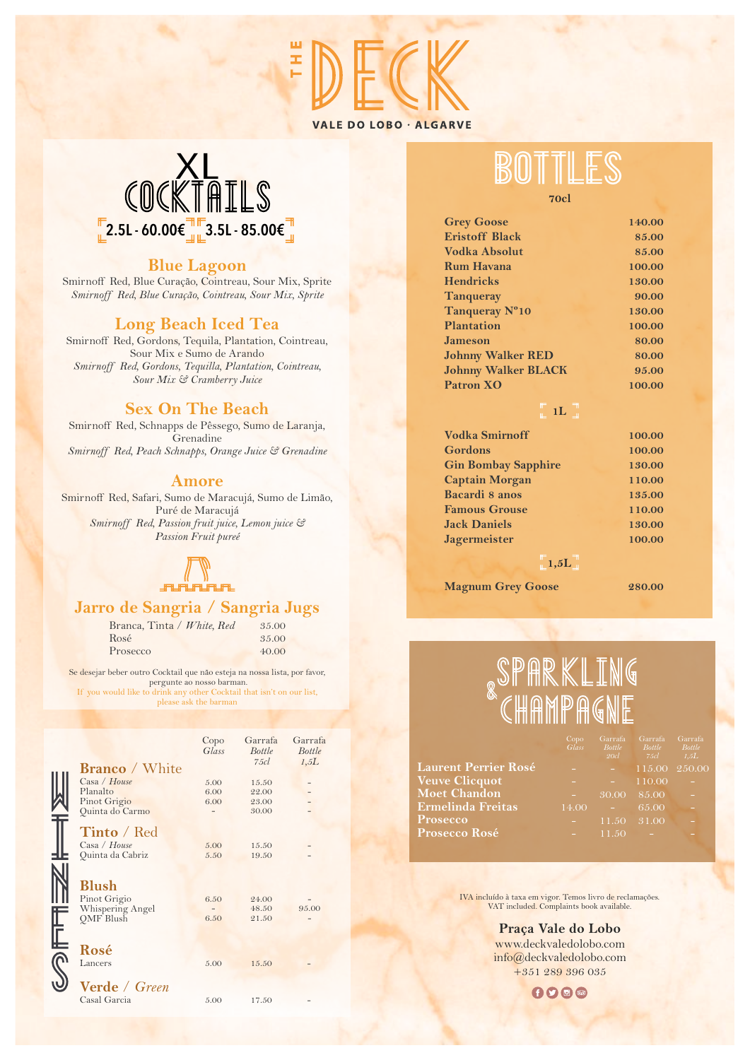

## COCKTAILS  $\frac{1}{2}$ 2.5L - 60.00€ $\frac{1}{4}$  $\frac{1}{4}$ 3.5L - 85.00€ $\frac{1}{4}$

#### **Blue Lagoon**

Smirnoff Red, Blue Curação, Cointreau, Sour Mix, Sprite *Smirnoff Red, Blue Curação, Cointreau, Sour Mix, Sprite*

#### **Long Beach Iced Tea**

Smirnoff Red, Gordons, Tequila, Plantation, Cointreau, Sour Mix e Sumo de Arando *Smirnoff Red, Gordons, Tequilla, Plantation, Cointreau, Sour Mix & Cramberry Juice*

#### **Sex On The Beach**

Smirnoff Red, Schnapps de Pêssego, Sumo de Laranja, **Grenadine** *Smirnoff Red, Peach Schnapps, Orange Juice & Grenadine*

#### **Amore**

Smirnoff Red, Safari, Sumo de Maracujá, Sumo de Limão, Puré de Maracujá *Smirnoff Red, Passion fruit juice, Lemon juice & Passion Fruit pureé*



#### **Jarro de Sangria / Sangria Jugs**

Branca, Tinta / *White, Red* Rosé Prosecco 35.00 35.00 40.00

Se desejar beber outro Cocktail que não esteja na nossa lista, por favor, pergunte ao nosso barman. If you would like to drink any other Cocktail that isn't on our list, please ask the barman

|                       | Copo<br>Glass | Garrafa<br><b>Bottle</b> | Garrafa<br><b>Bottle</b> |
|-----------------------|---------------|--------------------------|--------------------------|
| <b>Branco</b> / White |               | 75cl                     | 1,5L                     |
| Casa / House          | 5.00          | 15.50                    |                          |
| Planalto              | 6.00          | 22.00                    |                          |
| Pinot Grigio          | 6.00          | 23.00                    |                          |
| Quinta do Carmo       |               | 30.00                    |                          |
|                       |               |                          |                          |
| Tinto / Red           |               |                          |                          |
| Casa / House          | 5.00          | 15.50                    |                          |
| Quinta da Cabriz      | 5.50          | 19.50                    |                          |
|                       |               |                          |                          |
|                       |               |                          |                          |
| <b>Blush</b>          |               |                          |                          |
|                       |               |                          |                          |
| Pinot Grigio          | 6.50          | 24.00                    |                          |
| Whispering Angel      |               | 48.50                    | 95.00                    |
| <b>OMF</b> Blush      | 6.50          | 21.50                    |                          |
|                       |               |                          |                          |
|                       |               |                          |                          |
| Rosé                  |               |                          |                          |
| Lancers               | 5.00          | 15.50                    |                          |
|                       |               |                          |                          |
| Verde / Green         |               |                          |                          |
|                       |               |                          |                          |
| Casal Garcia          | 5.00          | 17.50                    |                          |
|                       |               |                          |                          |

**70cl**

| <b>Grey Goose</b>          | 140.00 |
|----------------------------|--------|
| <b>Eristoff Black</b>      | 85.00  |
| Vodka Absolut              | 85.00  |
| <b>Rum Havana</b>          | 100.00 |
| <b>Hendricks</b>           | 130.00 |
| <b>Tanqueray</b>           | 90.00  |
| Tanqueray N°10             | 130.00 |
| <b>Plantation</b>          | 100.00 |
| <b>Jameson</b>             | 80.00  |
| <b>Johnny Walker RED</b>   | 80.00  |
| <b>Johnny Walker BLACK</b> | 95.00  |
| <b>Patron XO</b>           | 100.00 |
|                            |        |

 $\begin{bmatrix} \mathbb{F} & 1 \end{bmatrix}$ 

| <b>Vodka Smirnoff</b>      | 100.00 |
|----------------------------|--------|
| <b>Gordons</b>             | 100.00 |
| <b>Gin Bombay Sapphire</b> | 130.00 |
| <b>Captain Morgan</b>      | 110.00 |
| <b>Bacardi 8 anos</b>      | 135.00 |
| <b>Famous Grouse</b>       | 110.00 |
| <b>Jack Daniels</b>        | 130.00 |
| <b>Jagermeister</b>        | 100.00 |
|                            |        |

 $\overline{\phantom{a}}$  1,5L

**Magnum Grey Goose 280.00**

# SPARKLING<br>`CHAMPAGNE

|                             |       | 20cl  | $75cl$ $1.5L$         |   |
|-----------------------------|-------|-------|-----------------------|---|
| <b>Laurent Perrier Rosé</b> |       |       | $115.00 \quad 250.00$ |   |
| Veuve Clicquot              |       | ÷.    | 110.00                |   |
| Moet Chandon                |       |       | 30.00 85.00           | ÷ |
| Ermelinda Freitas           | 14.00 | n a   | 65.00                 |   |
| <b>Prosecco</b>             |       |       | $11.50 \quad 31.00$   |   |
| <b>Prosecco Rosé</b>        |       | 11.50 |                       |   |
|                             |       |       |                       |   |

IVA incluído à taxa em vigor. Temos livro de reclamações. VAT included. Complaints book available.

**Praça Vale do Lobo** www.deckvaledolobo.com info@deckvaledolobo.com +351 289 396 035

 $000$